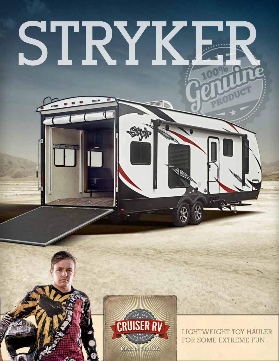# STRYK

**TOTOLOGICA** 



**LIGHTWEIGHT TOY HAULER FOR SOME EXTREME FUN**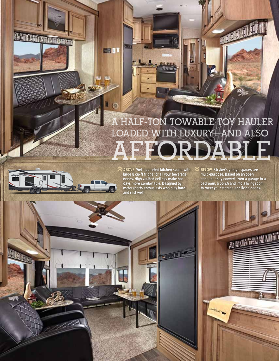# **A HALF-TON TOWABLE TOY HAULER LOADED WITH LUXURY—AND ALSO AFFORDABLE**



**TANK AND TANK TIME OF THE REAL** 

ABOVE: Well appointed kitchen space with large 8 cu-ft fridge for all your beverage needs. High vaulted ceilings make hot days more comfortable. Designed by motorsports enthusiasts who play hard and rest well!

 $A$ 

**DEB** 

DEET

BELOW: Stryker's garage spaces are multi-purpose. Based on an open concept, they convert from a garage to a bedroom, a porch and into a living room to meet your storage and living needs.  $\blacktriangledown$ 

Good Boad

AUGUST WORLD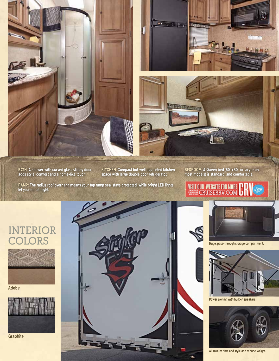

BATH: A shower with curved glass sliding door adds style, comfort and a home-like touch.

KITCHEN: Compact but well appointed kitchen space with large double door refrigerator.

BEDROOM: A Queen bed (60"x 80" or larger on most models) is standard, and comfortable.

RAMP: The radius roof overhang means your top ramp seal stays protected, while bright LED lights let you see at night.



## **INTERIOR COLORS**



Adobe



Graphite



Huge, pass-through storage compartment.



Power awning with built-in speakers!



Aluminum rims add style and reduce weight.